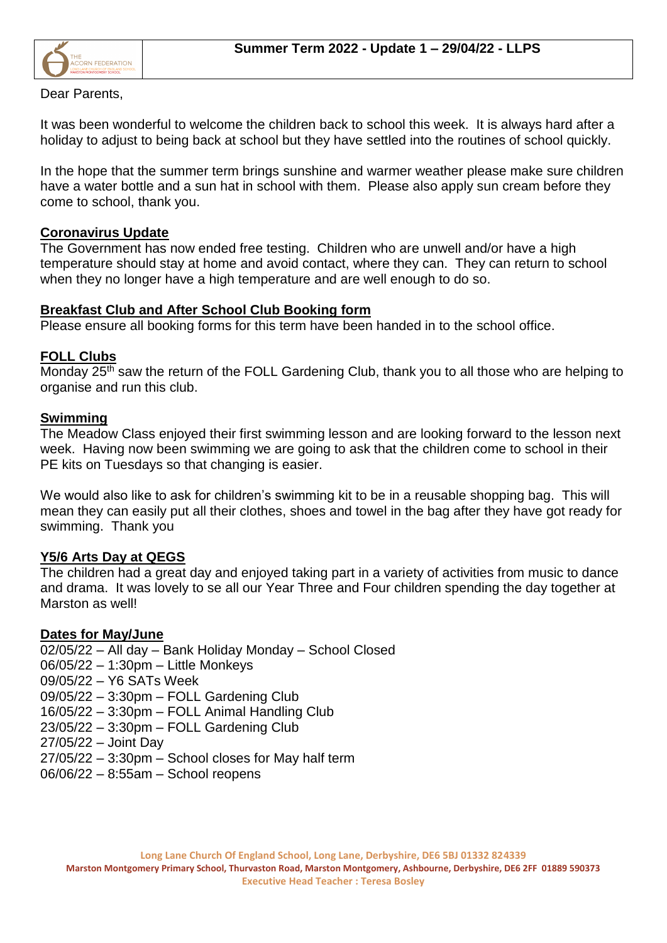

Dear Parents,

It was been wonderful to welcome the children back to school this week. It is always hard after a holiday to adjust to being back at school but they have settled into the routines of school quickly.

In the hope that the summer term brings sunshine and warmer weather please make sure children have a water bottle and a sun hat in school with them. Please also apply sun cream before they come to school, thank you.

## **Coronavirus Update**

The Government has now ended free testing. Children who are unwell and/or have a high temperature should stay at home and avoid contact, where they can. They can return to school when they no longer have a high temperature and are well enough to do so.

## **Breakfast Club and After School Club Booking form**

Please ensure all booking forms for this term have been handed in to the school office.

## **FOLL Clubs**

Monday 25<sup>th</sup> saw the return of the FOLL Gardening Club, thank you to all those who are helping to organise and run this club.

## **Swimming**

The Meadow Class enjoyed their first swimming lesson and are looking forward to the lesson next week. Having now been swimming we are going to ask that the children come to school in their PE kits on Tuesdays so that changing is easier.

We would also like to ask for children's swimming kit to be in a reusable shopping bag. This will mean they can easily put all their clothes, shoes and towel in the bag after they have got ready for swimming. Thank you

# **Y5/6 Arts Day at QEGS**

The children had a great day and enjoyed taking part in a variety of activities from music to dance and drama. It was lovely to se all our Year Three and Four children spending the day together at Marston as well!

#### **Dates for May/June**

02/05/22 – All day – Bank Holiday Monday – School Closed

- 06/05/22 1:30pm Little Monkeys
- 09/05/22 Y6 SATs Week

09/05/22 – 3:30pm – FOLL Gardening Club

- 16/05/22 3:30pm FOLL Animal Handling Club
- 23/05/22 3:30pm FOLL Gardening Club

27/05/22 – Joint Day

- 27/05/22 3:30pm School closes for May half term
- 06/06/22 8:55am School reopens